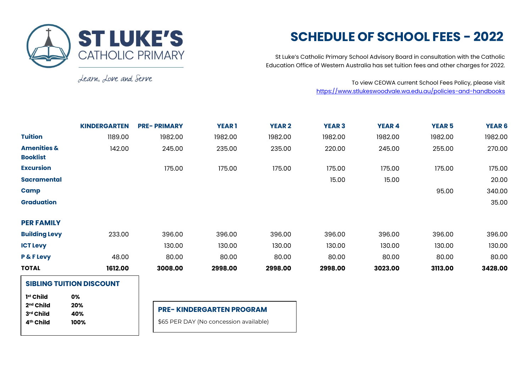

Learn, Love and Serve

## **SCHEDULE OF SCHOOL FEES - 2022**

St Luke's Catholic Primary School Advisory Board in consultation with the Catholic Education Office of Western Australia has set tuition fees and other charges for 2022.

To view CEOWA current School Fees Policy, please visit

<https://www.stlukeswoodvale.wa.edu.au/policies-and-handbooks>

|                        | <b>KINDERGARTEN</b>             | <b>PRE-PRIMARY</b> | <b>YEAR1</b> | <b>YEAR 2</b> | <b>YEAR 3</b> | <b>YEAR 4</b> | <b>YEAR 5</b> | <b>YEAR 6</b> |
|------------------------|---------------------------------|--------------------|--------------|---------------|---------------|---------------|---------------|---------------|
|                        |                                 |                    |              |               |               |               |               |               |
| <b>Tuition</b>         | 1189.00                         | 1982.00            | 1982.00      | 1982.00       | 1982.00       | 1982.00       | 1982.00       | 1982.00       |
| <b>Amenities &amp;</b> | 142.00                          | 245.00             | 235.00       | 235.00        | 220.00        | 245.00        | 255.00        | 270.00        |
| <b>Booklist</b>        |                                 |                    |              |               |               |               |               |               |
| <b>Excursion</b>       |                                 | 175.00             | 175.00       | 175.00        | 175.00        | 175.00        | 175.00        | 175.00        |
| <b>Sacramental</b>     |                                 |                    |              |               | 15.00         | 15.00         |               | 20.00         |
| <b>Camp</b>            |                                 |                    |              |               |               |               | 95.00         | 340.00        |
| <b>Graduation</b>      |                                 |                    |              |               |               |               |               | 35.00         |
| <b>PER FAMILY</b>      |                                 |                    |              |               |               |               |               |               |
| <b>Building Levy</b>   | 233.00                          | 396.00             | 396.00       | 396.00        | 396.00        | 396.00        | 396.00        | 396.00        |
| <b>ICT Levy</b>        |                                 | 130.00             | 130.00       | 130.00        | 130.00        | 130.00        | 130.00        | 130.00        |
| P & F Levy             | 48.00                           | 80.00              | 80.00        | 80.00         | 80.00         | 80.00         | 80.00         | 80.00         |
| <b>TOTAL</b>           | 1612.00                         | 3008.00            | 2998.00      | 2998.00       | 2998.00       | 3023.00       | 3113.00       | 3428.00       |
|                        | <b>SIBLING TUITION DISCOUNT</b> |                    |              |               |               |               |               |               |

| 20%  |
|------|
| 40%  |
| 100% |
|      |

**PRE- KINDERGARTEN PROGRAM**

\$65 PER DAY (No concession available)